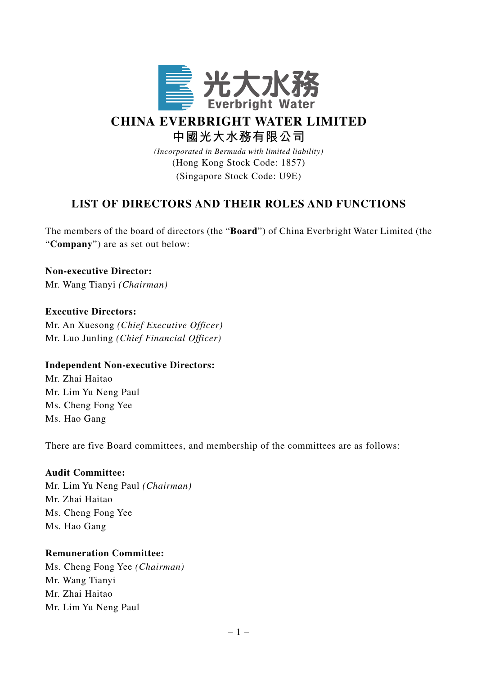

# **CHINA EVERBRIGHT WATER LIMITED 中國光大水務有限公司**

*(Incorporated in Bermuda with limited liability)*

(Hong Kong Stock Code: 1857) (Singapore Stock Code: U9E)

# **LIST OF DIRECTORS AND THEIR ROLES AND FUNCTIONS**

The members of the board of directors (the "**Board**") of China Everbright Water Limited (the "**Company**") are as set out below:

**Non-executive Director:** Mr. Wang Tianyi *(Chairman)*

# **Executive Directors:**

Mr. An Xuesong *(Chief Executive Officer)* Mr. Luo Junling *(Chief Financial Officer)*

# **Independent Non-executive Directors:**

Mr. Zhai Haitao Mr. Lim Yu Neng Paul Ms. Cheng Fong Yee Ms. Hao Gang

There are five Board committees, and membership of the committees are as follows:

# **Audit Committee:**

Mr. Lim Yu Neng Paul *(Chairman)* Mr. Zhai Haitao Ms. Cheng Fong Yee Ms. Hao Gang

# **Remuneration Committee:**

Ms. Cheng Fong Yee *(Chairman)* Mr. Wang Tianyi Mr. Zhai Haitao Mr. Lim Yu Neng Paul